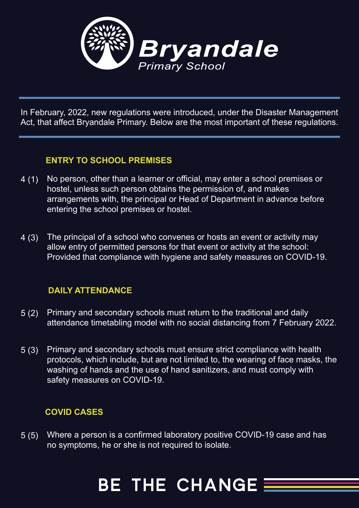

In February, 2022, new regulations were introduced, under the Disaster Management Act, that affect Bryandale Primary. Below are the most important of these regulations.

### **ENTRY TO SCHOOL PREMISES**

- No person, other than a learner or official, may enter a school premises or hostel, unless such person obtains the permission of, and makes arrangements with, the principal or Head of Department in advance before entering the school premises or hostel.  $4(1)$
- The principal of a school who convenes or hosts an event or activity may allow entry of permitted persons for that event or activity at the school: Provided that compliance with hygiene and safety measures on COVID-19. 4 (3)

### **DAILY ATTENDANCE**

- Primary and secondary schools must return to the traditional and daily attendance timetabling model with no social distancing from 7 February 2022.  $5(2)$
- Primary and secondary schools must ensure strict compliance with health protocols, which include, but are not limited to, the wearing of face masks, the washing of hands and the use of hand sanitizers, and must comply with safety measures on COVID-19. 5 (3)

### **COVID CASES**

Where a person is a confirmed laboratory positive COVID-19 case and has no symptoms, he or she is not required to isolate.  $5(5)$ 

## **BE THE CHANGE**